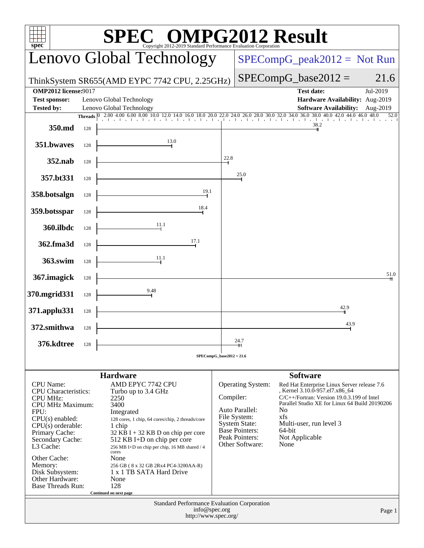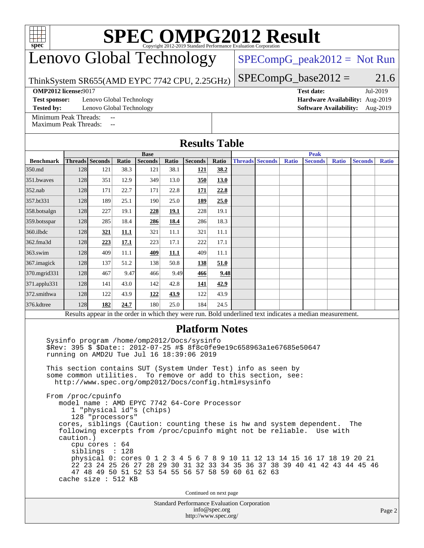| $spec^*$                                                                                                                                                          | <b>SPEC OMPG2012 Result</b><br>ht 2012-2019 Standard Performance Evaluation Corporation |                          |             |                                                                                                                                  |             |                                             |               |                        |                               |              |                                 |              |                |              |  |
|-------------------------------------------------------------------------------------------------------------------------------------------------------------------|-----------------------------------------------------------------------------------------|--------------------------|-------------|----------------------------------------------------------------------------------------------------------------------------------|-------------|---------------------------------------------|---------------|------------------------|-------------------------------|--------------|---------------------------------|--------------|----------------|--------------|--|
| Lenovo Global Technology                                                                                                                                          |                                                                                         |                          |             |                                                                                                                                  |             |                                             |               |                        | $SPECompG_peak2012 = Not Run$ |              |                                 |              |                |              |  |
| ThinkSystem SR655(AMD EYPC 7742 CPU, 2.25GHz)                                                                                                                     |                                                                                         |                          |             |                                                                                                                                  |             |                                             |               |                        |                               |              | $SPECompG_base2012 =$           |              |                | 21.6         |  |
| <b>OMP2012 license:9017</b><br><b>Test date:</b><br>Jul-2019                                                                                                      |                                                                                         |                          |             |                                                                                                                                  |             |                                             |               |                        |                               |              |                                 |              |                |              |  |
| <b>Test sponsor:</b>                                                                                                                                              |                                                                                         | Lenovo Global Technology |             |                                                                                                                                  |             |                                             |               |                        |                               |              | Hardware Availability: Aug-2019 |              |                |              |  |
| <b>Tested by:</b><br>Lenovo Global Technology<br><b>Software Availability:</b><br>Aug-2019<br>Minimum Peak Threads:                                               |                                                                                         |                          |             |                                                                                                                                  |             |                                             |               |                        |                               |              |                                 |              |                |              |  |
| <b>Maximum Peak Threads:</b>                                                                                                                                      |                                                                                         |                          |             |                                                                                                                                  |             |                                             |               |                        |                               |              |                                 |              |                |              |  |
| <b>Results Table</b>                                                                                                                                              |                                                                                         |                          |             |                                                                                                                                  |             |                                             |               |                        |                               |              |                                 |              |                |              |  |
| <b>Benchmark</b>                                                                                                                                                  |                                                                                         | <b>Threads   Seconds</b> | Ratio       | <b>Base</b><br><b>Seconds</b>                                                                                                    | Ratio       | <b>Seconds</b>                              | Ratio         | <b>Threads Seconds</b> |                               | <b>Ratio</b> | <b>Peak</b><br><b>Seconds</b>   | <b>Ratio</b> | <b>Seconds</b> | <b>Ratio</b> |  |
| 350.md                                                                                                                                                            | 128                                                                                     | 121                      | 38.3        | 121                                                                                                                              | 38.1        | 121                                         | 38.2          |                        |                               |              |                                 |              |                |              |  |
| 351.bwaves                                                                                                                                                        | <b>128</b>                                                                              | 351                      | 12.9        | 349                                                                                                                              | 13.0        | 350                                         | 13.0          |                        |                               |              |                                 |              |                |              |  |
| 352.nab                                                                                                                                                           | 128                                                                                     | 171                      | 22.7        | 171                                                                                                                              | 22.8        | 171                                         | 22.8          |                        |                               |              |                                 |              |                |              |  |
| 357.bt331                                                                                                                                                         | 128                                                                                     | 189                      | 25.1        | 190                                                                                                                              | 25.0        | 189                                         | 25.0          |                        |                               |              |                                 |              |                |              |  |
| 358.botsalgn                                                                                                                                                      | 128                                                                                     | 227                      | 19.1        | 228                                                                                                                              | <b>19.1</b> | 228                                         | 19.1          |                        |                               |              |                                 |              |                |              |  |
| 359.botsspar                                                                                                                                                      | 128                                                                                     | 285                      | 18.4        | 286                                                                                                                              | 18.4        | 286                                         | 18.3          |                        |                               |              |                                 |              |                |              |  |
| 360.ilbdc                                                                                                                                                         | 128                                                                                     | 321                      | <u>11.1</u> | 321                                                                                                                              | 11.1        | 321                                         | 11.1          |                        |                               |              |                                 |              |                |              |  |
| 362.fma3d                                                                                                                                                         | 128                                                                                     | 223                      | 17.1        | 223                                                                                                                              | 17.1        | 222                                         | 17.1          |                        |                               |              |                                 |              |                |              |  |
| 363.swim                                                                                                                                                          | 128                                                                                     | 409                      | 11.1        | 409                                                                                                                              | <b>11.1</b> | 409                                         | 11.1          |                        |                               |              |                                 |              |                |              |  |
| 367.imagick                                                                                                                                                       | 128                                                                                     | 137                      | 51.2        | 138                                                                                                                              | 50.8        | 138                                         | 51.0          |                        |                               |              |                                 |              |                |              |  |
| 370.mgrid331                                                                                                                                                      | 128                                                                                     | 467                      | 9.47        | 466                                                                                                                              | 9.49        | 466                                         | 9.48          |                        |                               |              |                                 |              |                |              |  |
| 371.applu331                                                                                                                                                      | 128                                                                                     | 141                      | 43.0        | 142                                                                                                                              | 42.8        | 141                                         | 42.9          |                        |                               |              |                                 |              |                |              |  |
| 372.smithwa                                                                                                                                                       | 128                                                                                     | 122                      | 43.9        | 122                                                                                                                              | 43.9        | 122                                         | 43.9          |                        |                               |              |                                 |              |                |              |  |
| 376.kdtree                                                                                                                                                        | 128                                                                                     | 182                      | 24.7        | 180                                                                                                                              | 25.0        | 184                                         | 24.5          |                        |                               |              |                                 |              |                |              |  |
|                                                                                                                                                                   |                                                                                         |                          |             |                                                                                                                                  |             |                                             |               |                        |                               |              |                                 |              |                |              |  |
| Results appear in the order in which they were run. Bold underlined text indicates a median measurement.<br><b>Platform Notes</b>                                 |                                                                                         |                          |             |                                                                                                                                  |             |                                             |               |                        |                               |              |                                 |              |                |              |  |
| Sysinfo program /home/omp2012/Docs/sysinfo<br>\$Rev: 395 \$ \$Date:: 2012-07-25 #\$ 8f8c0fe9e19c658963a1e67685e50647<br>running on AMD2U Tue Jul 16 18:39:06 2019 |                                                                                         |                          |             |                                                                                                                                  |             |                                             |               |                        |                               |              |                                 |              |                |              |  |
| This section contains SUT (System Under Test) info as seen by                                                                                                     |                                                                                         |                          |             |                                                                                                                                  |             |                                             |               |                        |                               |              |                                 |              |                |              |  |
| some common utilities. To remove or add to this section, see:<br>http://www.spec.org/omp2012/Docs/config.html#sysinfo                                             |                                                                                         |                          |             |                                                                                                                                  |             |                                             |               |                        |                               |              |                                 |              |                |              |  |
| From /proc/cpuinfo<br>model name : AMD EPYC 7742 64-Core Processor                                                                                                |                                                                                         |                          |             |                                                                                                                                  |             |                                             |               |                        |                               |              |                                 |              |                |              |  |
| 1 "physical id"s (chips)<br>128 "processors"                                                                                                                      |                                                                                         |                          |             |                                                                                                                                  |             |                                             |               |                        |                               |              |                                 |              |                |              |  |
| cores, siblings (Caution: counting these is hw and system dependent.<br>The<br>following excerpts from /proc/cpuinfo might not be reliable. Use with<br>caution.) |                                                                                         |                          |             |                                                                                                                                  |             |                                             |               |                        |                               |              |                                 |              |                |              |  |
|                                                                                                                                                                   |                                                                                         | cpu cores $: 64$         |             |                                                                                                                                  |             |                                             |               |                        |                               |              |                                 |              |                |              |  |
|                                                                                                                                                                   |                                                                                         | siblings : 128           |             | physical 0: cores 0 1 2 3 4 5 6 7 8 9 10 11 12 13 14 15 16 17 18 19 20 21                                                        |             |                                             |               |                        |                               |              |                                 |              |                |              |  |
|                                                                                                                                                                   |                                                                                         |                          |             | 22 23 24 25 26 27 28 29 30 31 32 33 34 35 36 37 38 39 40 41 42 43 44 45 46<br>47 48 49 50 51 52 53 54 55 56 57 58 59 60 61 62 63 |             |                                             |               |                        |                               |              |                                 |              |                |              |  |
|                                                                                                                                                                   |                                                                                         | cache size : $512$ KB    |             |                                                                                                                                  |             |                                             |               |                        |                               |              |                                 |              |                |              |  |
|                                                                                                                                                                   |                                                                                         |                          |             |                                                                                                                                  |             | Continued on next page                      |               |                        |                               |              |                                 |              |                |              |  |
|                                                                                                                                                                   |                                                                                         |                          |             |                                                                                                                                  |             | Standard Performance Evaluation Corporation |               |                        |                               |              |                                 |              |                |              |  |
|                                                                                                                                                                   |                                                                                         |                          |             |                                                                                                                                  |             |                                             | info@spec.org |                        |                               |              |                                 |              |                | Page 2       |  |

<http://www.spec.org/>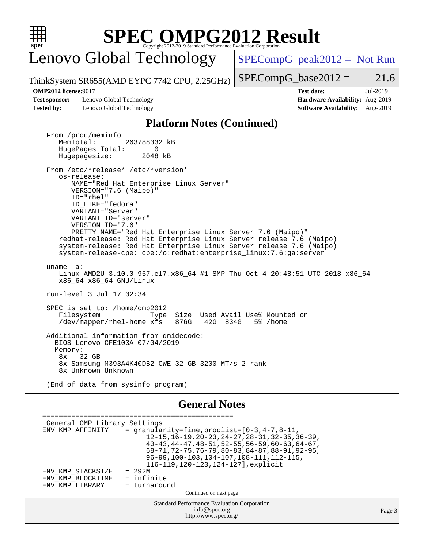![](_page_2_Picture_0.jpeg)

# **[SPEC OMPG2012 Result](http://www.spec.org/auto/omp2012/Docs/result-fields.html#SPECOMPG2012Result)**

Lenovo Global Technology

 $SPECompG_peak2012 = Not Run$  $SPECompG_peak2012 = Not Run$ 

ThinkSystem SR655(AMD EYPC 7742 CPU, 2.25GHz)

 $SPECompG_base2012 = 21.6$  $SPECompG_base2012 = 21.6$ 

**[Test sponsor:](http://www.spec.org/auto/omp2012/Docs/result-fields.html#Testsponsor)** Lenovo Global Technology **[Hardware Availability:](http://www.spec.org/auto/omp2012/Docs/result-fields.html#HardwareAvailability)** Aug-2019 **[Tested by:](http://www.spec.org/auto/omp2012/Docs/result-fields.html#Testedby)** Lenovo Global Technology **[Software Availability:](http://www.spec.org/auto/omp2012/Docs/result-fields.html#SoftwareAvailability)** Aug-2019

**[OMP2012 license:](http://www.spec.org/auto/omp2012/Docs/result-fields.html#OMP2012license)**9017 **[Test date:](http://www.spec.org/auto/omp2012/Docs/result-fields.html#Testdate)** Jul-2019

### **[Platform Notes \(Continued\)](http://www.spec.org/auto/omp2012/Docs/result-fields.html#PlatformNotes)**

From /proc/meminfo<br>MemTotal: 263788332 kB HugePages\_Total: 0<br>Hugepagesize: 2048 kB Hugepagesize: From /etc/\*release\* /etc/\*version\* os-release: NAME="Red Hat Enterprise Linux Server" VERSION="7.6 (Maipo)" ID="rhel" ID\_LIKE="fedora" VARIANT="Server" VARIANT\_ID="server" VERSION\_ID="7.6" PRETTY\_NAME="Red Hat Enterprise Linux Server 7.6 (Maipo)" redhat-release: Red Hat Enterprise Linux Server release 7.6 (Maipo) system-release: Red Hat Enterprise Linux Server release 7.6 (Maipo) system-release-cpe: cpe:/o:redhat:enterprise\_linux:7.6:ga:server uname -a: Linux AMD2U 3.10.0-957.el7.x86\_64 #1 SMP Thu Oct 4 20:48:51 UTC 2018 x86\_64 x86\_64 x86\_64 GNU/Linux run-level 3 Jul 17 02:34 SPEC is set to: /home/omp2012 Filesystem Type Size Used Avail Use% Mounted on<br>/dev/mapper/rhel-home xfs 876G 42G 834G 5% /home /dev/mapper/rhel-home xfs 876G Additional information from dmidecode: BIOS Lenovo CFE103A 07/04/2019 Memory: 8x 32 GB 8x Samsung M393A4K40DB2-CWE 32 GB 3200 MT/s 2 rank 8x Unknown Unknown (End of data from sysinfo program)

#### **[General Notes](http://www.spec.org/auto/omp2012/Docs/result-fields.html#GeneralNotes)**

Standard Performance Evaluation Corporation [info@spec.org](mailto:info@spec.org) <http://www.spec.org/> Page 3 ============================================== General OMP Library Settings ENV\_KMP\_AFFINITY = granularity=fine,  $proclist=[0-3, 4-7, 8-11,$  12-15,16-19,20-23,24-27,28-31,32-35,36-39, 40-43,44-47,48-51,52-55,56-59,60-63,64-67, 68-71,72-75,76-79,80-83,84-87,88-91,92-95, 96-99,100-103,104-107,108-111,112-115, 116-119,120-123,124-127],explicit ENV\_KMP\_STACKSIZE = 292M<br>ENV KMP BLOCKTIME = infinite ENV\_KMP\_BLOCKTIME = infinite<br>ENV\_KMP\_LIBRARY = turnaround ENV\_KMP\_LIBRARY Continued on next page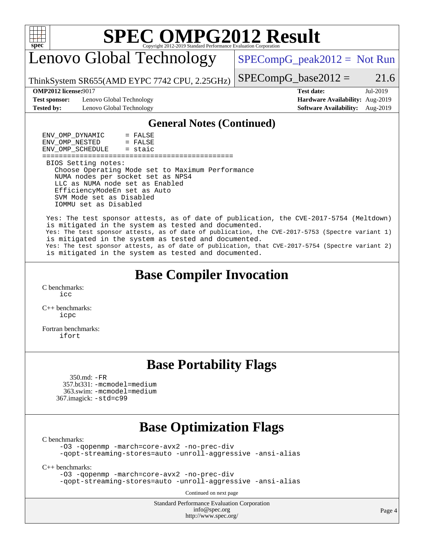![](_page_3_Picture_0.jpeg)